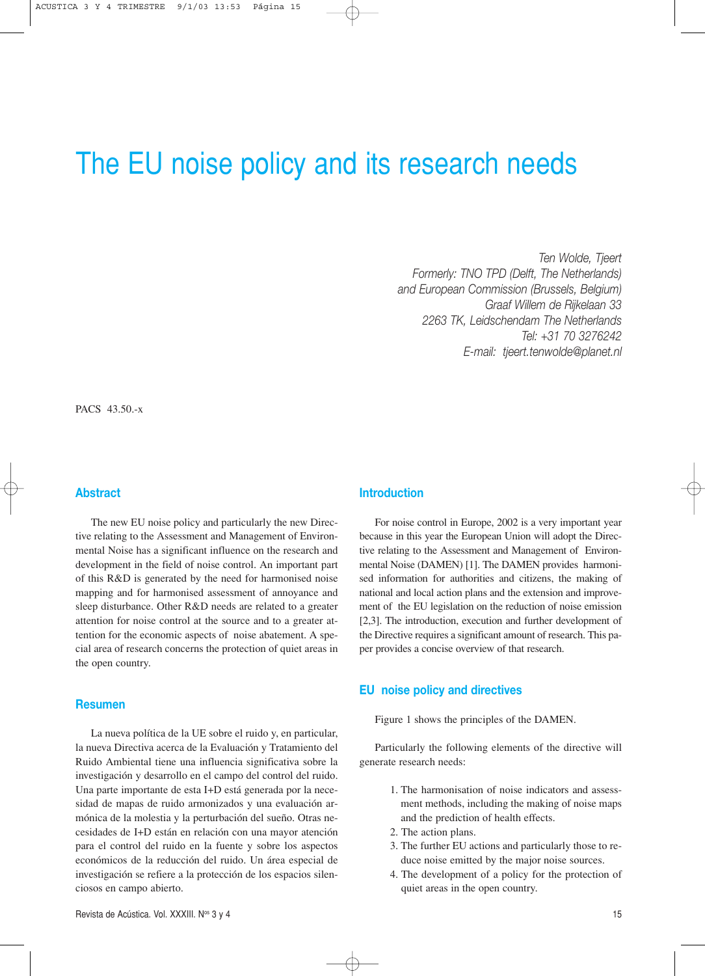# The EU noise policy and its research needs

*Ten Wolde, Tjeert Formerly: TNO TPD (Delft, The Netherlands) and European Commission (Brussels, Belgium) Graaf Willem de Rijkelaan 33 2263 TK, Leidschendam The Netherlands Tel: +31 70 3276242 E-mail: tjeert.tenwolde@planet.nl*

PACS 43.50.-x

# **Abstract**

The new EU noise policy and particularly the new Directive relating to the Assessment and Management of Environmental Noise has a significant influence on the research and development in the field of noise control. An important part of this R&D is generated by the need for harmonised noise mapping and for harmonised assessment of annoyance and sleep disturbance. Other R&D needs are related to a greater attention for noise control at the source and to a greater attention for the economic aspects of noise abatement. A special area of research concerns the protection of quiet areas in the open country.

#### **Resumen**

La nueva política de la UE sobre el ruido y, en particular, la nueva Directiva acerca de la Evaluación y Tratamiento del Ruido Ambiental tiene una influencia significativa sobre la investigación y desarrollo en el campo del control del ruido. Una parte importante de esta I+D está generada por la necesidad de mapas de ruido armonizados y una evaluación armónica de la molestia y la perturbación del sueño. Otras necesidades de I+D están en relación con una mayor atención para el control del ruido en la fuente y sobre los aspectos económicos de la reducción del ruido. Un área especial de investigación se refiere a la protección de los espacios silenciosos en campo abierto.

# **Introduction**

For noise control in Europe, 2002 is a very important year because in this year the European Union will adopt the Directive relating to the Assessment and Management of Environmental Noise (DAMEN) [1]. The DAMEN provides harmonised information for authorities and citizens, the making of national and local action plans and the extension and improvement of the EU legislation on the reduction of noise emission [2,3]. The introduction, execution and further development of the Directive requires a significant amount of research. This paper provides a concise overview of that research.

#### **EU noise policy and directives**

Figure 1 shows the principles of the DAMEN.

Particularly the following elements of the directive will generate research needs:

- 1. The harmonisation of noise indicators and assessment methods, including the making of noise maps and the prediction of health effects.
- 2. The action plans.
- 3. The further EU actions and particularly those to reduce noise emitted by the major noise sources.
- 4. The development of a policy for the protection of quiet areas in the open country.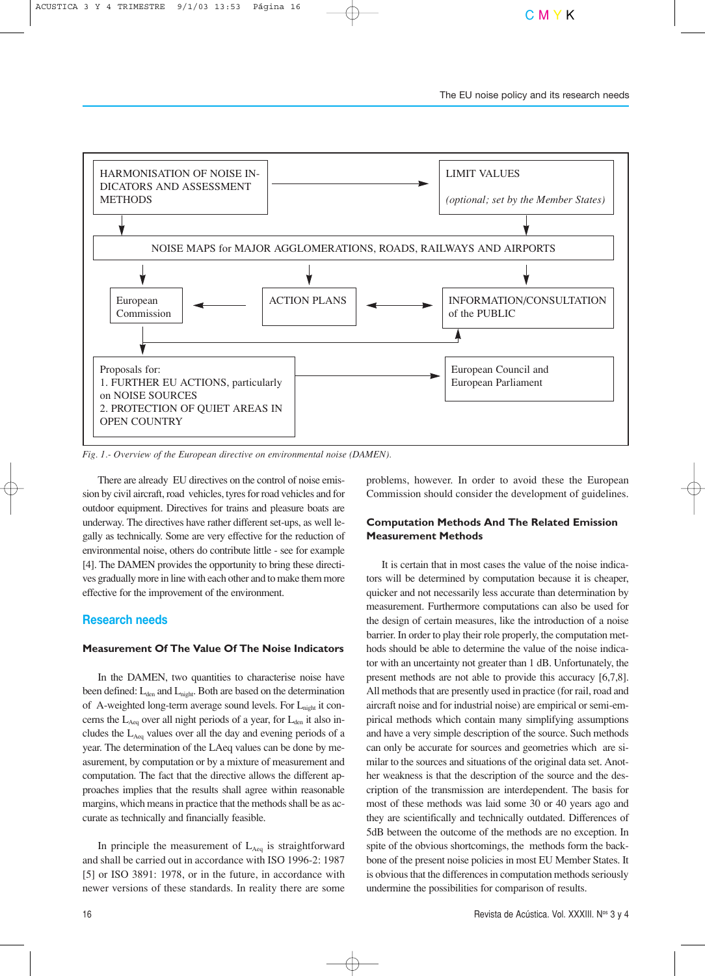

*Fig. 1.- Overview of the European directive on environmental noise (DAMEN).*

There are already EU directives on the control of noise emission by civil aircraft, road vehicles, tyres for road vehicles and for outdoor equipment. Directives for trains and pleasure boats are underway. The directives have rather different set-ups, as well legally as technically. Some are very effective for the reduction of environmental noise, others do contribute little - see for example [4]. The DAMEN provides the opportunity to bring these directives gradually more in line with each other and to make them more effective for the improvement of the environment.

# **Research needs**

#### **Measurement Of The Value Of The Noise Indicators**

In the DAMEN, two quantities to characterise noise have been defined:  $L_{den}$  and  $L_{night}$ . Both are based on the determination of A-weighted long-term average sound levels. For  $L_{\text{night}}$  it concerns the  $L_{Aeq}$  over all night periods of a year, for  $L_{den}$  it also includes the  $L_{Aeq}$  values over all the day and evening periods of a year. The determination of the LAeq values can be done by measurement, by computation or by a mixture of measurement and computation. The fact that the directive allows the different approaches implies that the results shall agree within reasonable margins, which means in practice that the methods shall be as accurate as technically and financially feasible.

In principle the measurement of  $L_{Aeq}$  is straightforward and shall be carried out in accordance with ISO 1996-2: 1987 [5] or ISO 3891: 1978, or in the future, in accordance with newer versions of these standards. In reality there are some

problems, however. In order to avoid these the European Commission should consider the development of guidelines.

# **Computation Methods And The Related Emission Measurement Methods**

It is certain that in most cases the value of the noise indicators will be determined by computation because it is cheaper, quicker and not necessarily less accurate than determination by measurement. Furthermore computations can also be used for the design of certain measures, like the introduction of a noise barrier. In order to play their role properly, the computation methods should be able to determine the value of the noise indicator with an uncertainty not greater than 1 dB. Unfortunately, the present methods are not able to provide this accuracy [6,7,8]. All methods that are presently used in practice (for rail, road and aircraft noise and for industrial noise) are empirical or semi-empirical methods which contain many simplifying assumptions and have a very simple description of the source. Such methods can only be accurate for sources and geometries which are similar to the sources and situations of the original data set. Another weakness is that the description of the source and the description of the transmission are interdependent. The basis for most of these methods was laid some 30 or 40 years ago and they are scientifically and technically outdated. Differences of 5dB between the outcome of the methods are no exception. In spite of the obvious shortcomings, the methods form the backbone of the present noise policies in most EU Member States. It is obvious that the differences in computation methods seriously undermine the possibilities for comparison of results.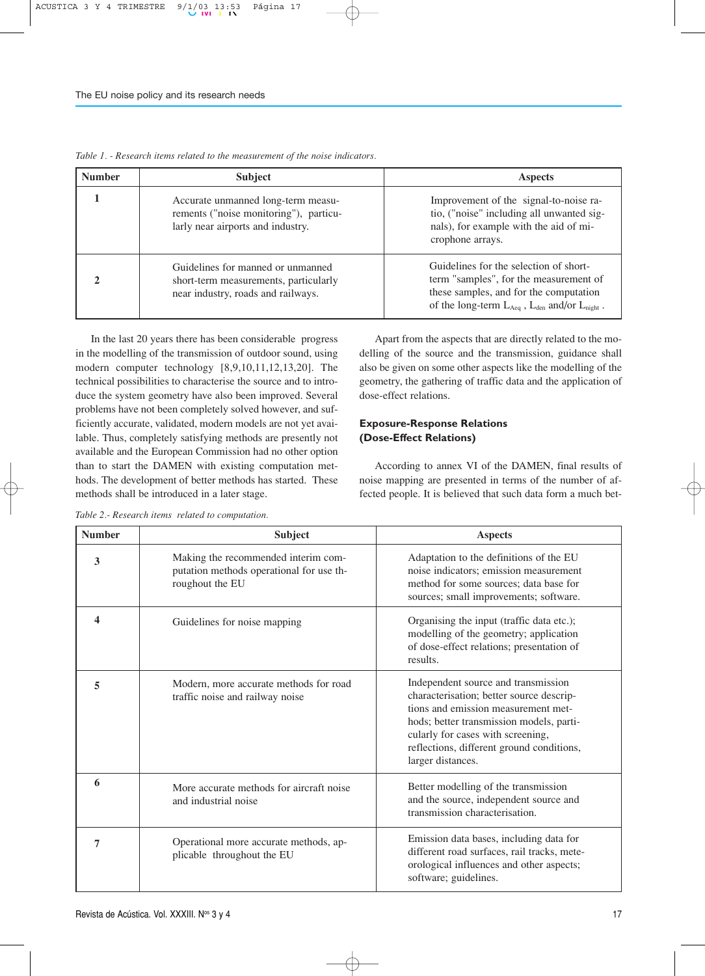| <b>Number</b> | <b>Subject</b>                                                                                                    | <b>Aspects</b>                                                                                                                                                                            |  |  |
|---------------|-------------------------------------------------------------------------------------------------------------------|-------------------------------------------------------------------------------------------------------------------------------------------------------------------------------------------|--|--|
|               | Accurate unmanned long-term measu-<br>rements ("noise monitoring"), particu-<br>larly near airports and industry. | Improvement of the signal-to-noise ra-<br>tio, ("noise" including all unwanted sig-<br>nals), for example with the aid of mi-<br>crophone arrays.                                         |  |  |
|               | Guidelines for manned or unmanned<br>short-term measurements, particularly<br>near industry, roads and railways.  | Guidelines for the selection of short-<br>term "samples", for the measurement of<br>these samples, and for the computation<br>of the long-term $L_{Aeq}$ , $L_{den}$ and/or $L_{night}$ . |  |  |

*Table 1. - Research items related to the measurement of the noise indicators.*

In the last 20 years there has been considerable progress in the modelling of the transmission of outdoor sound, using modern computer technology [8,9,10,11,12,13,20]. The technical possibilities to characterise the source and to introduce the system geometry have also been improved. Several problems have not been completely solved however, and sufficiently accurate, validated, modern models are not yet available. Thus, completely satisfying methods are presently not available and the European Commission had no other option than to start the DAMEN with existing computation methods. The development of better methods has started. These methods shall be introduced in a later stage.

| Table 2.- Research items related to computation. |  |  |
|--------------------------------------------------|--|--|
|--------------------------------------------------|--|--|

Apart from the aspects that are directly related to the modelling of the source and the transmission, guidance shall also be given on some other aspects like the modelling of the geometry, the gathering of traffic data and the application of dose-effect relations.

# **Exposure-Response Relations (Dose-Effect Relations)**

According to annex VI of the DAMEN, final results of noise mapping are presented in terms of the number of affected people. It is believed that such data form a much bet-

| <b>Number</b> | <b>Subject</b>                                                                                     | <b>Aspects</b>                                                                                                                                                                                                                                                            |
|---------------|----------------------------------------------------------------------------------------------------|---------------------------------------------------------------------------------------------------------------------------------------------------------------------------------------------------------------------------------------------------------------------------|
| 3             | Making the recommended interim com-<br>putation methods operational for use th-<br>roughout the EU | Adaptation to the definitions of the EU<br>noise indicators; emission measurement<br>method for some sources; data base for<br>sources; small improvements; software.                                                                                                     |
| 4             | Guidelines for noise mapping                                                                       | Organising the input (traffic data etc.);<br>modelling of the geometry; application<br>of dose-effect relations; presentation of<br>results.                                                                                                                              |
| 5             | Modern, more accurate methods for road<br>traffic noise and railway noise                          | Independent source and transmission<br>characterisation; better source descrip-<br>tions and emission measurement met-<br>hods; better transmission models, parti-<br>cularly for cases with screening,<br>reflections, different ground conditions,<br>larger distances. |
| 6             | More accurate methods for aircraft noise<br>and industrial noise                                   | Better modelling of the transmission<br>and the source, independent source and<br>transmission characterisation.                                                                                                                                                          |
| 7             | Operational more accurate methods, ap-<br>plicable throughout the EU                               | Emission data bases, including data for<br>different road surfaces, rail tracks, mete-<br>orological influences and other aspects;<br>software; guidelines.                                                                                                               |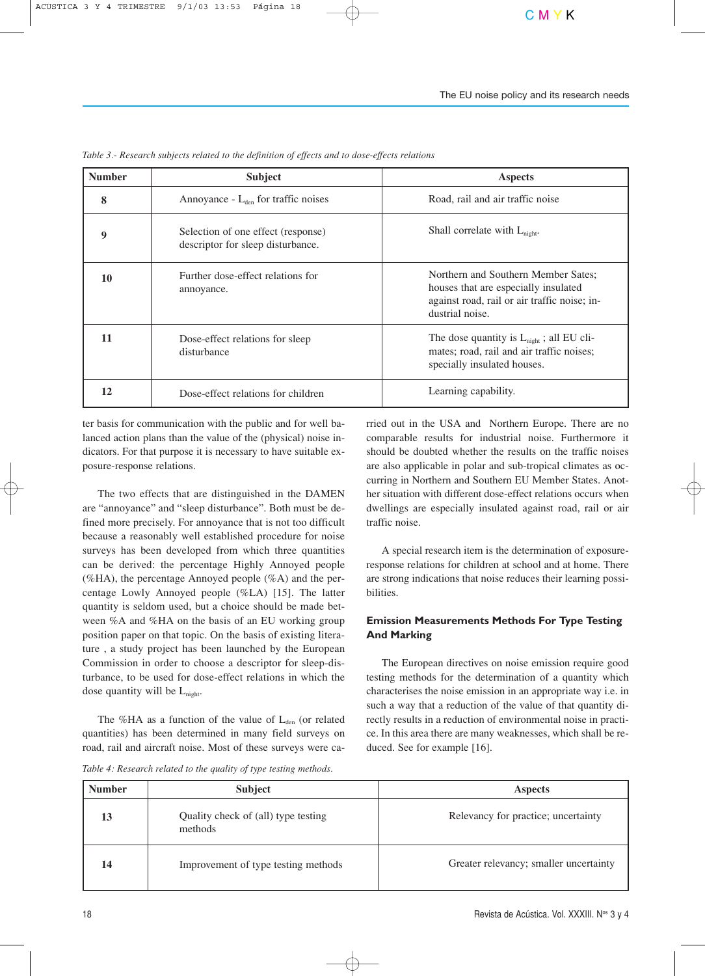| <b>Number</b> | <b>Subject</b>                                                          | <b>Aspects</b>                                                                                                                                 |  |
|---------------|-------------------------------------------------------------------------|------------------------------------------------------------------------------------------------------------------------------------------------|--|
| 8             | Annoyance - $L_{den}$ for traffic noises                                | Road, rail and air traffic noise                                                                                                               |  |
| 9             | Selection of one effect (response)<br>descriptor for sleep disturbance. | Shall correlate with $L_{\text{night}}$ .                                                                                                      |  |
| 10            | Further dose-effect relations for<br>annoyance.                         | Northern and Southern Member Sates:<br>houses that are especially insulated<br>against road, rail or air traffic noise; in-<br>dustrial noise. |  |
| 11            | Dose-effect relations for sleep<br>disturbance                          | The dose quantity is $L_{night}$ ; all EU cli-<br>mates; road, rail and air traffic noises;<br>specially insulated houses.                     |  |
| 12            | Dose-effect relations for children                                      | Learning capability.                                                                                                                           |  |

*Table 3.- Research subjects related to the definition of effects and to dose-effects relations* 

ter basis for communication with the public and for well balanced action plans than the value of the (physical) noise indicators. For that purpose it is necessary to have suitable exposure-response relations.

The two effects that are distinguished in the DAMEN are "annoyance" and "sleep disturbance". Both must be defined more precisely. For annoyance that is not too difficult because a reasonably well established procedure for noise surveys has been developed from which three quantities can be derived: the percentage Highly Annoyed people (%HA), the percentage Annoyed people  $(\% A)$  and the percentage Lowly Annoyed people (%LA) [15]. The latter quantity is seldom used, but a choice should be made between %A and %HA on the basis of an EU working group position paper on that topic. On the basis of existing literature , a study project has been launched by the European Commission in order to choose a descriptor for sleep-disturbance, to be used for dose-effect relations in which the dose quantity will be  $L_{\text{night}}$ .

The %HA as a function of the value of  $L_{den}$  (or related quantities) has been determined in many field surveys on road, rail and aircraft noise. Most of these surveys were ca-

*Table 4: Research related to the quality of type testing methods.*

rried out in the USA and Northern Europe. There are no comparable results for industrial noise. Furthermore it should be doubted whether the results on the traffic noises are also applicable in polar and sub-tropical climates as occurring in Northern and Southern EU Member States. Another situation with different dose-effect relations occurs when dwellings are especially insulated against road, rail or air traffic noise.

A special research item is the determination of exposureresponse relations for children at school and at home. There are strong indications that noise reduces their learning possibilities.

# **Emission Measurements Methods For Type Testing And Marking**

The European directives on noise emission require good testing methods for the determination of a quantity which characterises the noise emission in an appropriate way i.e. in such a way that a reduction of the value of that quantity directly results in a reduction of environmental noise in practice. In this area there are many weaknesses, which shall be reduced. See for example [16].

| <b>Number</b> | <b>Subject</b>                                 | <b>Aspects</b>                         |
|---------------|------------------------------------------------|----------------------------------------|
| 13            | Quality check of (all) type testing<br>methods | Relevancy for practice; uncertainty    |
| 14            | Improvement of type testing methods            | Greater relevancy; smaller uncertainty |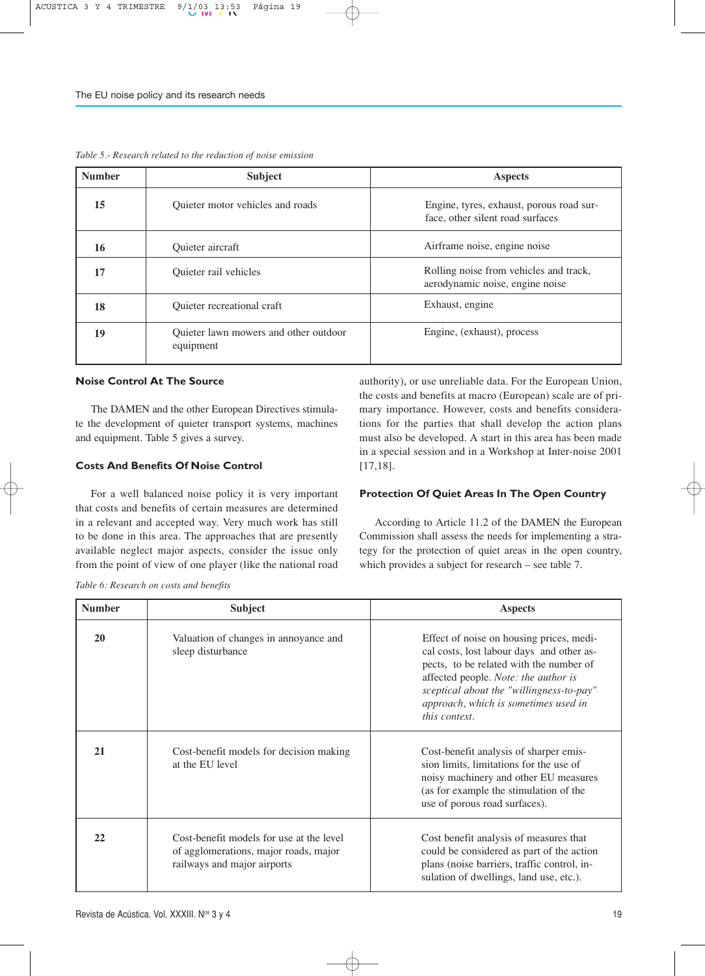| <b>Number</b> | <b>Subject</b>                                     | <b>Aspects</b>                                                               |  |
|---------------|----------------------------------------------------|------------------------------------------------------------------------------|--|
| 15            | Quieter motor vehicles and roads                   | Engine, tyres, exhaust, porous road sur-<br>face, other silent road surfaces |  |
| 16            | Quieter aircraft                                   | Airframe noise, engine noise                                                 |  |
| 17            | Quieter rail vehicles                              | Rolling noise from vehicles and track,<br>aerodynamic noise, engine noise    |  |
| 18            | Quieter recreational craft                         | Exhaust, engine                                                              |  |
| 19            | Quieter lawn mowers and other outdoor<br>equipment | Engine, (exhaust), process                                                   |  |

*Table 5.- Research related to the reduction of noise emission*

#### **Noise Control At The Source**

The DAMEN and the other European Directives stimulate the development of quieter transport systems, machines and equipment. Table 5 gives a survey.

#### **Costs And Benefits Of Noise Control**

For a well balanced noise policy it is very important that costs and benefits of certain measures are determined in a relevant and accepted way. Very much work has still to be done in this area. The approaches that are presently available neglect major aspects, consider the issue only from the point of view of one player (like the national road authority), or use unreliable data. For the European Union, the costs and benefits at macro (European) scale are of primary importance. However, costs and benefits considerations for the parties that shall develop the action plans must also be developed. A start in this area has been made in a special session and in a Workshop at Inter-noise 2001 [17,18].

#### **Protection Of Quiet Areas In The Open Country**

According to Article 11.2 of the DAMEN the European Commission shall assess the needs for implementing a strategy for the protection of quiet areas in the open country, which provides a subject for research – see table 7.

*Table 6: Research on costs and benefits*

| <b>Number</b> | <b>Subject</b>                                                                                                   | <b>Aspects</b>                                                                                                                                                                                                                                                                |  |  |
|---------------|------------------------------------------------------------------------------------------------------------------|-------------------------------------------------------------------------------------------------------------------------------------------------------------------------------------------------------------------------------------------------------------------------------|--|--|
| 20            | Valuation of changes in annoyance and<br>sleep disturbance                                                       | Effect of noise on housing prices, medi-<br>cal costs, lost labour days and other as-<br>pects, to be related with the number of<br>affected people. Note: the author is<br>sceptical about the "willingness-to-pay"<br>approach, which is sometimes used in<br>this context. |  |  |
| 21            | Cost-benefit models for decision making<br>at the EU level                                                       | Cost-benefit analysis of sharper emis-<br>sion limits, limitations for the use of<br>noisy machinery and other EU measures<br>(as for example the stimulation of the<br>use of porous road surfaces).                                                                         |  |  |
| 22            | Cost-benefit models for use at the level<br>of agglomerations, major roads, major<br>railways and major airports | Cost benefit analysis of measures that<br>could be considered as part of the action<br>plans (noise barriers, traffic control, in-<br>sulation of dwellings, land use, etc.).                                                                                                 |  |  |